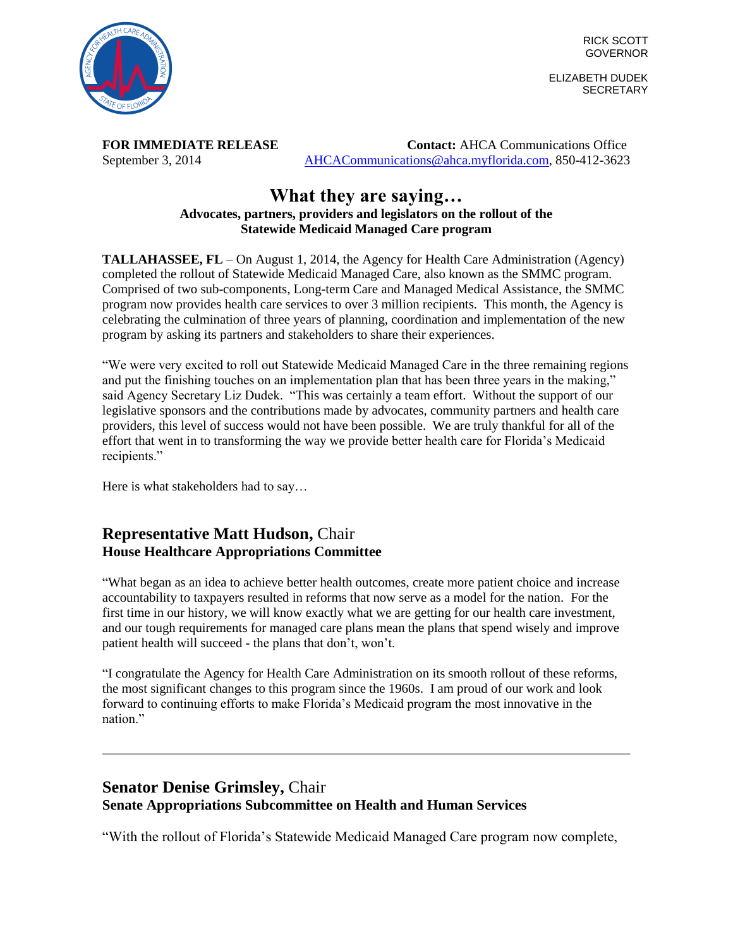

RICK SCOTT GOVERNOR

ELIZABETH DUDEK **SECRETARY** 

**FOR IMMEDIATE RELEASE Contact:** AHCA Communications Office September 3, 2014 [AHCACommunications@ahca.myflorida.com,](mailto:AHCACommunications@ahca.myflorida.com) 850-412-3623

#### **What they are saying… Advocates, partners, providers and legislators on the rollout of the Statewide Medicaid Managed Care program**

**TALLAHASSEE, FL** – On August 1, 2014, the Agency for Health Care Administration (Agency) completed the rollout of Statewide Medicaid Managed Care, also known as the SMMC program. Comprised of two sub-components, Long-term Care and Managed Medical Assistance, the SMMC program now provides health care services to over 3 million recipients. This month, the Agency is celebrating the culmination of three years of planning, coordination and implementation of the new program by asking its partners and stakeholders to share their experiences.

"We were very excited to roll out Statewide Medicaid Managed Care in the three remaining regions and put the finishing touches on an implementation plan that has been three years in the making," said Agency Secretary Liz Dudek. "This was certainly a team effort. Without the support of our legislative sponsors and the contributions made by advocates, community partners and health care providers, this level of success would not have been possible. We are truly thankful for all of the effort that went in to transforming the way we provide better health care for Florida's Medicaid recipients."

Here is what stakeholders had to say...

## **Representative Matt Hudson,** Chair **House Healthcare Appropriations Committee**

"What began as an idea to achieve better health outcomes, create more patient choice and increase accountability to taxpayers resulted in reforms that now serve as a model for the nation. For the first time in our history, we will know exactly what we are getting for our health care investment, and our tough requirements for managed care plans mean the plans that spend wisely and improve patient health will succeed - the plans that don't, won't.

"I congratulate the Agency for Health Care Administration on its smooth rollout of these reforms, the most significant changes to this program since the 1960s. I am proud of our work and look forward to continuing efforts to make Florida's Medicaid program the most innovative in the nation."

## **Senator Denise Grimsley,** Chair **Senate Appropriations Subcommittee on Health and Human Services**

"With the rollout of Florida's Statewide Medicaid Managed Care program now complete,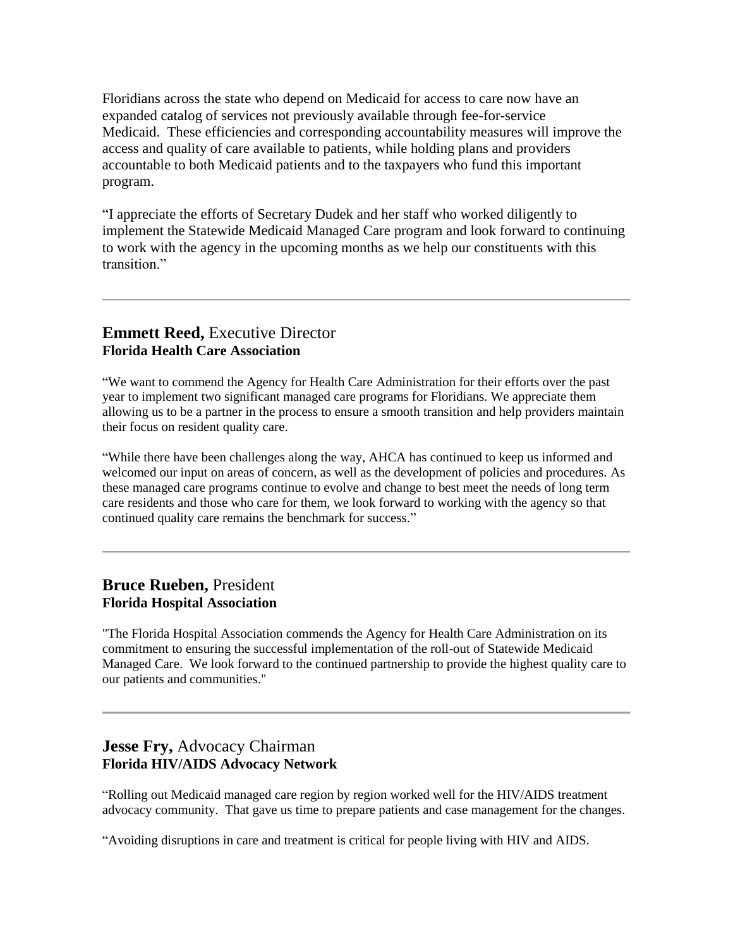Floridians across the state who depend on Medicaid for access to care now have an expanded catalog of services not previously available through fee-for-service Medicaid. These efficiencies and corresponding accountability measures will improve the access and quality of care available to patients, while holding plans and providers accountable to both Medicaid patients and to the taxpayers who fund this important program.

"I appreciate the efforts of Secretary Dudek and her staff who worked diligently to implement the Statewide Medicaid Managed Care program and look forward to continuing to work with the agency in the upcoming months as we help our constituents with this transition<sup>"</sup>

#### **Emmett Reed,** Executive Director **Florida Health Care Association**

"We want to commend the Agency for Health Care Administration for their efforts over the past year to implement two significant managed care programs for Floridians. We appreciate them allowing us to be a partner in the process to ensure a smooth transition and help providers maintain their focus on resident quality care.

"While there have been challenges along the way, AHCA has continued to keep us informed and welcomed our input on areas of concern, as well as the development of policies and procedures. As these managed care programs continue to evolve and change to best meet the needs of long term care residents and those who care for them, we look forward to working with the agency so that continued quality care remains the benchmark for success."

### **Bruce Rueben,** President **Florida Hospital Association**

"The Florida Hospital Association commends the Agency for Health Care Administration on its commitment to ensuring the successful implementation of the roll-out of Statewide Medicaid Managed Care. We look forward to the continued partnership to provide the highest quality care to our patients and communities."

## **Jesse Fry,** Advocacy Chairman **Florida HIV/AIDS Advocacy Network**

"Rolling out Medicaid managed care region by region worked well for the HIV/AIDS treatment advocacy community. That gave us time to prepare patients and case management for the changes.

"Avoiding disruptions in care and treatment is critical for people living with HIV and AIDS.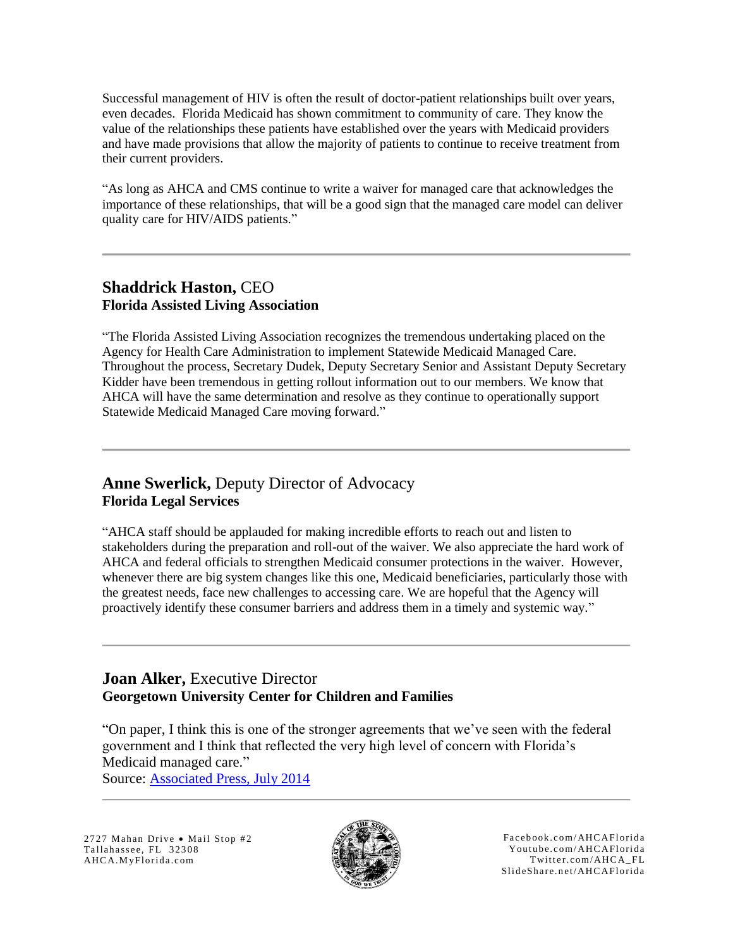Successful management of HIV is often the result of doctor-patient relationships built over years, even decades. Florida Medicaid has shown commitment to community of care. They know the value of the relationships these patients have established over the years with Medicaid providers and have made provisions that allow the majority of patients to continue to receive treatment from their current providers.

"As long as AHCA and CMS continue to write a waiver for managed care that acknowledges the importance of these relationships, that will be a good sign that the managed care model can deliver quality care for HIV/AIDS patients."

## **Shaddrick Haston,** CEO **Florida Assisted Living Association**

"The Florida Assisted Living Association recognizes the tremendous undertaking placed on the Agency for Health Care Administration to implement Statewide Medicaid Managed Care. Throughout the process, Secretary Dudek, Deputy Secretary Senior and Assistant Deputy Secretary Kidder have been tremendous in getting rollout information out to our members. We know that AHCA will have the same determination and resolve as they continue to operationally support Statewide Medicaid Managed Care moving forward."

## **Anne Swerlick,** Deputy Director of Advocacy **Florida Legal Services**

"AHCA staff should be applauded for making incredible efforts to reach out and listen to stakeholders during the preparation and roll-out of the waiver. We also appreciate the hard work of AHCA and federal officials to strengthen Medicaid consumer protections in the waiver. However, whenever there are big system changes like this one, Medicaid beneficiaries, particularly those with the greatest needs, face new challenges to accessing care. We are hopeful that the Agency will proactively identify these consumer barriers and address them in a timely and systemic way."

### **Joan Alker,** Executive Director **Georgetown University Center for Children and Families**

"On paper, I think this is one of the stronger agreements that we've seen with the federal government and I think that reflected the very high level of concern with Florida's Medicaid managed care."

[Source: Associated Press, July 2014](http://www.gainesville.com/article/20140702/WIRE/140709943)

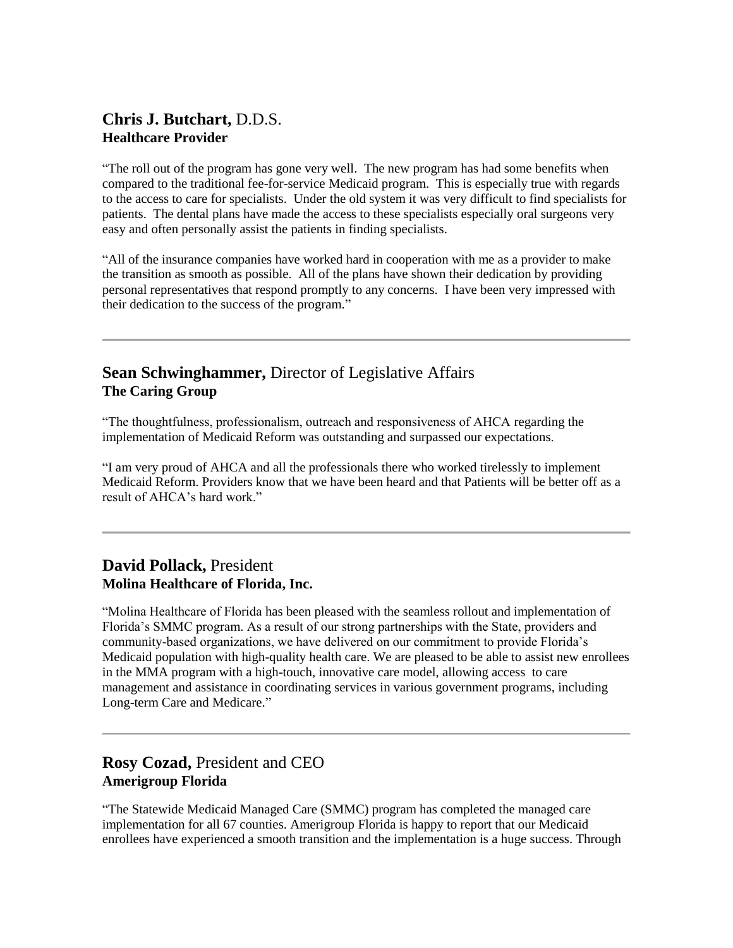## **Chris J. Butchart,** D.D.S. **Healthcare Provider**

"The roll out of the program has gone very well. The new program has had some benefits when compared to the traditional fee-for-service Medicaid program. This is especially true with regards to the access to care for specialists. Under the old system it was very difficult to find specialists for patients. The dental plans have made the access to these specialists especially oral surgeons very easy and often personally assist the patients in finding specialists.

"All of the insurance companies have worked hard in cooperation with me as a provider to make the transition as smooth as possible. All of the plans have shown their dedication by providing personal representatives that respond promptly to any concerns. I have been very impressed with their dedication to the success of the program."

## **Sean Schwinghammer,** Director of Legislative Affairs **The Caring Group**

"The thoughtfulness, professionalism, outreach and responsiveness of AHCA regarding the implementation of Medicaid Reform was outstanding and surpassed our expectations.

"I am very proud of AHCA and all the professionals there who worked tirelessly to implement Medicaid Reform. Providers know that we have been heard and that Patients will be better off as a result of AHCA's hard work."

#### **David Pollack,** President **Molina Healthcare of Florida, Inc.**

"Molina Healthcare of Florida has been pleased with the seamless rollout and implementation of Florida's SMMC program. As a result of our strong partnerships with the State, providers and community-based organizations, we have delivered on our commitment to provide Florida's Medicaid population with high-quality health care. We are pleased to be able to assist new enrollees in the MMA program with a high-touch, innovative care model, allowing access to care management and assistance in coordinating services in various government programs, including Long-term Care and Medicare."

# **Rosy Cozad,** President and CEO **Amerigroup Florida**

"The Statewide Medicaid Managed Care (SMMC) program has completed the managed care implementation for all 67 counties. Amerigroup Florida is happy to report that our Medicaid enrollees have experienced a smooth transition and the implementation is a huge success. Through